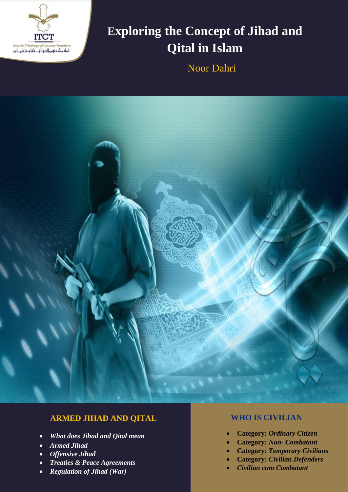

## **Exploring the Concept of Jihad and Qital in Islam**

Noor Dahri



### **ARMED JIHAD AND QITAL**

- *What does Jihad and Qital mean*
- *Armed Jihad*
- *Offensive Jihad*
- *Treaties & Peace Agreements*
- *Regulation of Jihad (War)*

#### **WHO IS CIVILIAN**

- **Category:** *Ordinary Citizen*
- **Category:** *Non- Combatant*
- **Category:** *Temporary Civilians*
- **Category:** *Civilian Defenders*
- *Civilian cum Combatant*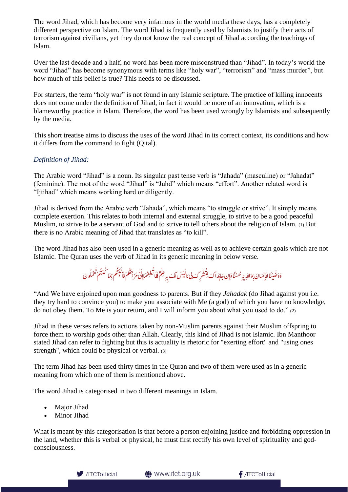The word Jihad, which has become very infamous in the world media these days, has a completely different perspective on Islam. The word Jihad is frequently used by Islamists to justify their acts of terrorism against civilians, yet they do not know the real concept of Jihad according the teachings of Islam.

Over the last decade and a half, no word has been more misconstrued than "Jihad". In today's world the word "Jihad" has become synonymous with terms like "holy war", "terrorism" and "mass murder", but how much of this belief is true? This needs to be discussed.

For starters, the term "holy war" is not found in any Islamic scripture. The practice of killing innocents does not come under the definition of Jihad, in fact it would be more of an innovation, which is a blameworthy practice in Islam. Therefore, the word has been used wrongly by Islamists and subsequently by the media.

This short treatise aims to discuss the uses of the word Jihad in its correct context, its conditions and how it differs from the command to fight (Qital).

#### *Definition of Jihad:*

The Arabic word "Jihad" is a noun. Its singular past tense verb is "Jahada" (masculine) or "Jahadat" (feminine). The root of the word "Jihad" is "Juhd" which means "effort". Another related word is "Ijtihad" which means working hard or diligently.

Jihad is derived from the Arabic verb "Jahada", which means "to struggle or strive". It simply means complete exertion. This relates to both internal and external struggle, to strive to be a good peaceful Muslim, to strive to be a servant of God and to strive to tell others about the religion of Islam. (1) But there is no Arabic meaning of Jihad that translates as "to kill".

The word Jihad has also been used in a generic meaning as well as to achieve certain goals which are not Islamic. The Quran uses the verb of Jihad in its generic meaning in below verse.

> ِ<br>طِعِيمَ) ه ْ د<br>و يى ن<br>ت .<br>شُرِكسَ**بِي مَا لَيْسَ لَكَ بِهِ عِلْمٌ** فَلَمَا ِ ا <u>با</u> ؚ<br>֡֕ ش ر<br>في  $\overline{\mathbf{r}}$ وَوَصَّيْنَا الْإِنسَانَ بِوَاللّهِ يَهْ حَسْنًا وَإِن جَابَدَاكَ لِتُشْرِكَ بِي مَا لَيْسَ لَكَ بِهِ عِلْمٌ فَلَا تُطِهِمْمَاإِلَىٰٓ مَرْجِعُكُمْ فَا نَبِسَكُمْ بِمَا كُنتُمْ تَعْمَلُونَ َ j ًا ļ ֦֧֟֓֓֓֓**֓** ا<br>ا ن َ l í ن ِ ْا l َ َ  $\overline{\phantom{a}}$ لُ َ  $\overline{\phantom{a}}$ ن مْ ا<br>م م<br>م بممّا كُنتُهُ j ُك ر ِ ن َي ي j جعُگُمَ فَاُّ ُك **غ** ؚ<br>ا ة<br>مامَرُ م ِ<br>ہ لَ إِ

"And We have enjoined upon man goodness to parents. But if they *Jahadak* (do Jihad against you i.e. they try hard to convince you) to make you associate with Me (a god) of which you have no knowledge, do not obey them. To Me is your return, and I will inform you about what you used to do."  $(2)$ 

Jihad in these verses refers to actions taken by non-Muslim parents against their Muslim offspring to force them to worship gods other than Allah. Clearly, this kind of Jihad is not Islamic. Ibn Manthoor stated Jihad can refer to fighting but this is actuality is rhetoric for "exerting effort" and "using ones strength", which could be physical or verbal. (3)

The term Jihad has been used thirty times in the Quran and two of them were used as in a generic meaning from which one of them is mentioned above.

The word Jihad is categorised in two different meanings in Islam.

- Major Jihad
- Minor Jihad

What is meant by this categorisation is that before a person enjoining justice and forbidding oppression in the land, whether this is verbal or physical, he must first rectify his own level of spirituality and godconsciousness.



**<sup>●</sup>** www.itct.org.uk

 $f$ /ITCTofficial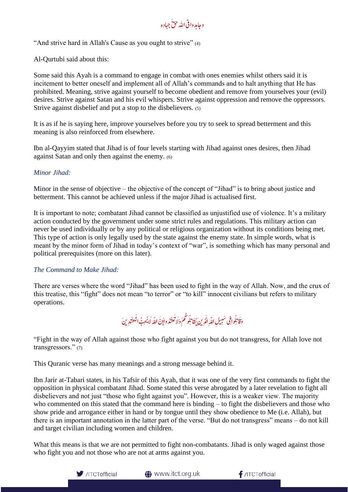وجامد وافى الله حقَّ جهاده

"And strive hard in Allah's Cause as you ought to strive" (4)

Al-Qurtubi said about this:

Some said this Ayah is a command to engage in combat with ones enemies whilst others said it is incitement to better oneself and implement all of Allah's commands and to halt anything that He has prohibited. Meaning, strive against yourself to become obedient and remove from yourselves your (evil) desires. Strive against Satan and his evil whispers. Strive against oppression and remove the oppressors. Strive against disbelief and put a stop to the disbelievers. (5)

It is as if he is saying here, improve yourselves before you try to seek to spread betterment and this meaning is also reinforced from elsewhere.

Ibn al-Qayyim stated that Jihad is of four levels starting with Jihad against ones desires, then Jihad against Satan and only then against the enemy. (6)

#### *Minor Jihad:*

Minor in the sense of objective – the objective of the concept of "Jihad" is to bring about justice and betterment. This cannot be achieved unless if the major Jihad is actualised first.

It is important to note; combatant Jihad cannot be classified as unjustified use of violence. It's a military action conducted by the government under some strict rules and regulations. This military action can never be used individually or by any political or religious organization without its conditions being met. This type of action is only legally used by the state against the enemy state. In simple words, what is meant by the minor form of Jihad in today's context of "war", is something which has many personal and political prerequisites (more on this later).

#### *The Command to Make Jihad:*

There are verses where the word "Jihad" has been used to fight in the way of Allah. Now, and the crux of this treatise, this "fight" does not mean "to terror" or "to kill" innocent civilians but refers to military operations.

ِدنيَ َ ا<br>الله اللهَ لَا يُحِبُّ الْمُعتَنَّةُ م ا<br>م َ i Í  $\tilde{\mathbf{r}}$  $\overline{\mathbf{z}}$ ْن ع َ  $\overline{\mathbf{r}}$ وتكم وَلَا لَأ َُك j ِلُ l<br>L وافِی سَبِيلِ اللّهِ الّذِينَ يُقَاتِهِ j ر<br>تا ف ِلُ i<br>L ي َوقَا

"Fight in the way of Allah against those who fight against you but do not transgress, for Allah love not transgressors." (7)

This Quranic verse has many meanings and a strong message behind it.

Ibn Jarir at-Tabari states, in his Tafsir of this Ayah, that it was one of the very first commands to fight the opposition in physical combatant Jihad. Some stated this verse abrogated by a later revelation to fight all disbelievers and not just "those who fight against you". However, this is a weaker view. The majority who commented on this stated that the command here is binding – to fight the disbelievers and those who show pride and arrogance either in hand or by tongue until they show obedience to Me (i.e. Allah), but there is an important annotation in the latter part of the verse. "But do not transgress" means – do not kill and target civilian including women and children.

What this means is that we are not permitted to fight non-combatants. Jihad is only waged against those who fight you and not those who are not at arms against you.



**<sup>●</sup>** www.itct.org.uk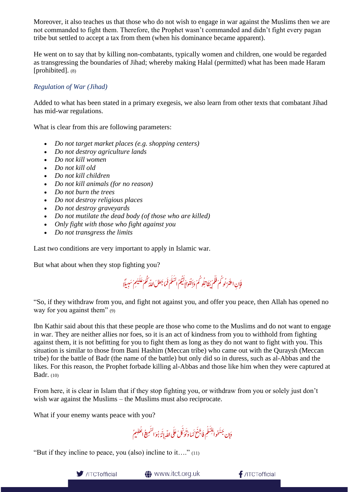Moreover, it also teaches us that those who do not wish to engage in war against the Muslims then we are not commanded to fight them. Therefore, the Prophet wasn't commanded and didn't fight every pagan tribe but settled to accept a tax from them (when his dominance became apparent).

He went on to say that by killing non-combatants, typically women and children, one would be regarded as transgressing the boundaries of Jihad; whereby making Halal (permitted) what has been made Haram [prohibited]. (8)

#### *Regulation of War (Jihad)*

Added to what has been stated in a primary exegesis, we also learn from other texts that combatant Jihad has mid-war regulations.

What is clear from this are following parameters:

- *Do not target market places (e.g. shopping centers)*
- *Do not destroy agriculture lands*
- *Do not kill women*
- *Do not kill old*
- *Do not kill children*
- *Do not kill animals (for no reason)*
- *Do not burn the trees*
- *Do not destroy religious places*
- *Do not destroy graveyards*
- *Do not mutilate the dead body (of those who are killed)*
- *Only fight with those who fight against you*
- *Do not transgress the limits*

Last two conditions are very important to apply in Islamic war.

But what about when they stop fighting you?

و كُمْ وَإِكَفُّوْاْإِلَيْكُمُ السَّلَمَ فَمَا جَعَلَ اللّهُ كُمْ عَلَيْهِمْ سَبِيلًا ه ֦֧֧֟֓<u>֓</u> ُ<br>ف ُ فَ لَ َ ì ُك **اللہ کیا جاتا ہے۔**<br>ا لَ **֝** َ ِلُ L مْ يُقَاتِ ر گرفتگم قلَّم لُ َ ֧֘ ै।<br>पुत्र .<br>فإنِ اعثُ ت

"So, if they withdraw from you, and fight not against you, and offer you peace, then Allah has opened no way for you against them" (9)

Ibn Kathir said about this that these people are those who come to the Muslims and do not want to engage in war. They are neither allies nor foes, so it is an act of kindness from you to withhold from fighting against them, it is not befitting for you to fight them as long as they do not want to fight with you. This situation is similar to those from Bani Hashim (Meccan tribe) who came out with the Quraysh (Meccan tribe) for the battle of Badr (the name of the battle) but only did so in duress, such as al-Abbas and the likes. For this reason, the Prophet forbade killing al-Abbas and those like him when they were captured at Badr. (10)

From here, it is clear in Islam that if they stop fighting you, or withdraw from you or solely just don't wish war against the Muslims – the Muslims must also reciprocate.

What if your enemy wants peace with you?

 $\frac{1}{2}$ l وَإِن جَنَحُوا<sup> لِلسَ</sup>لْمِ فَاجْنَحْ لَهَا دَ تَوَكَّلْ عَلَى اللّهِ إِنَّهُ بُوَالسَّمِيعُ الْعَلِيمُ ֦֧֧֟֓֓<u>֓</u> ر<br>ما ì  $\frac{1}{2}$  $\frac{1}{2}$ َ م ر<br>م ا  $\tilde{ }$ وَكَّلْ عَلَى اللَّهِ إِنَّهُ بُموَ ار<br>م َ ÿ í لَ ُ<br>أ َ ك  $\tilde{ }$ َ  $\overline{\phantom{a}}$ ن َو ه حْ ا í لَ

"But if they incline to peace, you (also) incline to it…." (11)



www.itct.org.uk

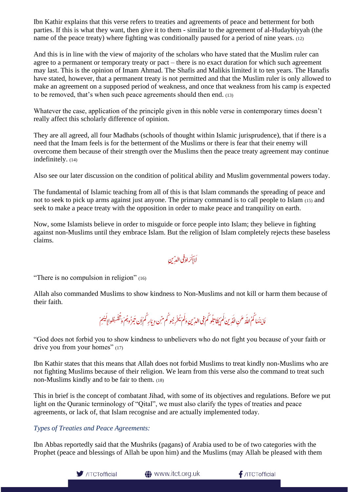Ibn Kathir explains that this verse refers to treaties and agreements of peace and betterment for both parties. If this is what they want, then give it to them - similar to the agreement of al-Hudaybiyyah (the name of the peace treaty) where fighting was conditionally paused for a period of nine years. (12)

And this is in line with the view of majority of the scholars who have stated that the Muslim ruler can agree to a permanent or temporary treaty or pact – there is no exact duration for which such agreement may last. This is the opinion of Imam Ahmad. The Shafis and Malikis limited it to ten years. The Hanafis have stated, however, that a permanent treaty is not permitted and that the Muslim ruler is only allowed to make an agreement on a supposed period of weakness, and once that weakness from his camp is expected to be removed, that's when such peace agreements should then end. (13)

Whatever the case, application of the principle given in this noble verse in contemporary times doesn't really affect this scholarly difference of opinion.

They are all agreed, all four Madhabs (schools of thought within Islamic jurisprudence), that if there is a need that the Imam feels is for the betterment of the Muslims or there is fear that their enemy will overcome them because of their strength over the Muslims then the peace treaty agreement may continue indefinitely. (14)

Also see our later discussion on the condition of political ability and Muslim governmental powers today.

The fundamental of Islamic teaching from all of this is that Islam commands the spreading of peace and not to seek to pick up arms against just anyone. The primary command is to call people to Islam (15) and seek to make a peace treaty with the opposition in order to make peace and tranquility on earth.

Now, some Islamists believe in order to misguide or force people into Islam; they believe in fighting against non-Muslims until they embrace Islam. But the religion of Islam completely rejects these baseless claims.

لَاإِسَرَاهُ فِی الدِّینِ ف َ ֦֧<u>֓</u> ك

"There is no compulsion in religion" (16)

Allah also commanded Muslims to show kindness to Non-Muslims and not kill or harm them because of their faith.

و ہمُ<br>گرفتگم ر<br>م Ĭ í َت  $\overline{a}$ و کُمْ فِی الدِّینِ وَکُمْ یُمُخْرِ جُو کُم مِّن دِیَارِ کُمْ إَِن تَبَ j َ j ؚ<br>ۭ ļ لَ ف ِلُ l<br>L لَا يَنْهَا كُمُ اللَّهُ عَنِ اللَّهِ ينَ كَمْ يُقَاتِلُو كُمْ فِي الدِّينِ وَلَمْ يُحْرِجُو كُم مِّن دِيَارِ كُمْ إَن تَبِرُّو بُمُ وَتُقْسِطُواإِلَيْهِمْ لَ j ر<br>ئا j ار<br>ا َ ا َ j َ ِ ه **ٔ** ر<br>ز  $\overline{\mathbf{z}}$ ن َو

"God does not forbid you to show kindness to unbelievers who do not fight you because of your faith or drive you from your homes" (17)

Ibn Kathir states that this means that Allah does not forbid Muslims to treat kindly non-Muslims who are not fighting Muslims because of their religion. We learn from this verse also the command to treat such non-Muslims kindly and to be fair to them. (18)

This in brief is the concept of combatant Jihad, with some of its objectives and regulations. Before we put light on the Quranic terminology of "Qital", we must also clarify the types of treaties and peace agreements, or lack of, that Islam recognise and are actually implemented today.

#### *Types of Treaties and Peace Agreements:*

Ibn Abbas reportedly said that the Mushriks (pagans) of Arabia used to be of two categories with the Prophet (peace and blessings of Allah be upon him) and the Muslims (may Allah be pleased with them



**<sup>●</sup>** www.itct.org.uk

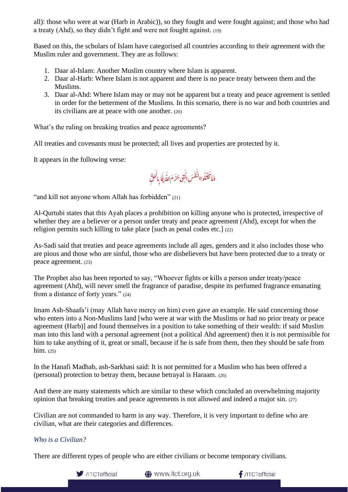all): those who were at war (Harb in Arabic)), so they fought and were fought against; and those who had a treaty (Ahd), so they didn't fight and were not fought against. (19)

Based on this, the scholars of Islam have categorised all countries according to their agreement with the Muslim ruler and government. They are as follows:

- 1. Daar al-Islam: Another Muslim country where Islam is apparent.
- 2. Daar al-Harb: Where Islam is not apparent and there is no peace treaty between them and the Muslims.
- 3. Daar al-Ahd: Where Islam may or may not be apparent but a treaty and peace agreement is settled in order for the betterment of the Muslims. In this scenario, there is no war and both countries and its civilians are at peace with one another. (20)

What's the ruling on breaking treaties and peace agreements?

All treaties and covenants must be protected; all lives and properties are protected by it.

It appears in the following verse:

رُ<br>لحَقِ ا ِ فى حَرَّ مَ اللَّهُ إِلَّا بِا ر<br>ن م<br>م ر<br>ا َ واالنَّفْسَ الَّذِ ر<br>ا ل َ j j ُلُ وه.<br>ق َ  $\overline{\phantom{a}}$ ن َولَا

"and kill not anyone whom Allah has forbidden" (21)

Al-Qurtubi states that this Ayah places a prohibition on killing anyone who is protected, irrespective of whether they are a believer or a person under treaty and peace agreement (Ahd), except for when the religion permits such killing to take place [such as penal codes etc.] (22)

As-Sadi said that treaties and peace agreements include all ages, genders and it also includes those who are pious and those who are sinful, those who are disbelievers but have been protected due to a treaty or peace agreement. (23)

The Prophet also has been reported to say, "Whoever fights or kills a person under treaty/peace agreement (Ahd), will never smell the fragrance of paradise, despite its perfumed fragrance emanating from a distance of forty years." (24)

Imam Ash-Shaafa'i (may Allah have mercy on him) even gave an example. He said concerning those who enters into a Non-Muslims land [who were at war with the Muslims or had no prior treaty or peace agreement (Harb)] and found themselves in a position to take something of their wealth: if said Muslim man into this land with a personal agreement (not a political Ahd agreement) then it is not permissible for him to take anything of it, great or small, because if he is safe from them, then they should be safe from him. (25)

In the Hanafi Madhab, ash-Sarkhasi said: It is not permitted for a Muslim who has been offered a (personal) protection to betray them, because betrayal is Haraam. (26)

And there are many statements which are similar to these which concluded an overwhelming majority opinion that breaking treaties and peace agreements is not allowed and indeed a major sin. (27)

Civilian are not commanded to harm in any way. Therefore, it is very important to define who are civilian, what are their categories and differences.

#### *Who is a Civilian?*

There are different types of people who are either civilians or become temporary civilians.



**1** www.itct.org.uk

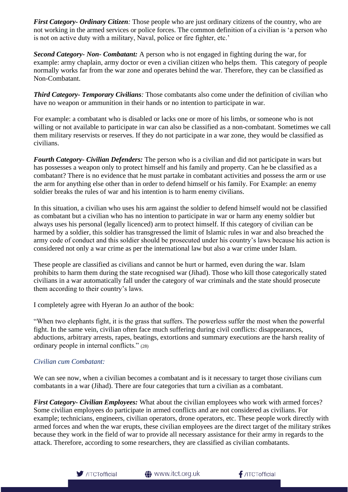*First Category- Ordinary Citizen:* Those people who are just ordinary citizens of the country, who are not working in the armed services or police forces. The common definition of a civilian is 'a person who is not on active duty with a military, Naval, police or fire fighter, etc.'

*Second Category- Non- Combatant:* A person who is not engaged in fighting during the war, for example: army chaplain, army doctor or even a civilian citizen who helps them. This category of people normally works far from the war zone and operates behind the war. Therefore, they can be classified as Non-Combatant.

*Third Category- Temporary Civilians:* Those combatants also come under the definition of civilian who have no weapon or ammunition in their hands or no intention to participate in war.

For example: a combatant who is disabled or lacks one or more of his limbs, or someone who is not willing or not available to participate in war can also be classified as a non-combatant. Sometimes we call them military reservists or reserves. If they do not participate in a war zone, they would be classified as civilians.

*Fourth Category- Civilian Defenders:* The person who is a civilian and did not participate in wars but has possesses a weapon only to protect himself and his family and property. Can he be classified as a combatant? There is no evidence that he must partake in combatant activities and possess the arm or use the arm for anything else other than in order to defend himself or his family. For Example: an enemy soldier breaks the rules of war and his intention is to harm enemy civilians.

In this situation, a civilian who uses his arm against the soldier to defend himself would not be classified as combatant but a civilian who has no intention to participate in war or harm any enemy soldier but always uses his personal (legally licenced) arm to protect himself. If this category of civilian can be harmed by a soldier, this soldier has transgressed the limit of Islamic rules in war and also breached the army code of conduct and this soldier should be prosecuted under his country's laws because his action is considered not only a war crime as per the international law but also a war crime under Islam.

These people are classified as civilians and cannot be hurt or harmed, even during the war. Islam prohibits to harm them during the state recognised war (Jihad). Those who kill those categorically stated civilians in a war automatically fall under the category of war criminals and the state should prosecute them according to their country's laws.

I completely agree with Hyeran Jo an author of the book:

"When two elephants fight, it is the grass that suffers. The powerless suffer the most when the powerful fight. In the same vein, civilian often face much suffering during civil conflicts: disappearances, abductions, arbitrary arrests, rapes, beatings, extortions and summary executions are the harsh reality of ordinary people in internal conflicts." (28)

#### *Civilian cum Combatant:*

We can see now, when a civilian becomes a combatant and is it necessary to target those civilians cum combatants in a war (Jihad). There are four categories that turn a civilian as a combatant.

*First Category- Civilian Employees:* What about the civilian employees who work with armed forces? Some civilian employees do participate in armed conflicts and are not considered as civilians. For example; technicians, engineers, civilian operators, drone operators, etc. These people work directly with armed forces and when the war erupts, these civilian employees are the direct target of the military strikes because they work in the field of war to provide all necessary assistance for their army in regards to the attack. Therefore, according to some researchers, they are classified as civilian combatants.



 $f$ /ITCTofficial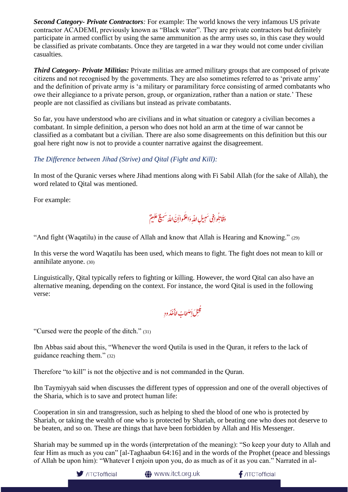*Second Category- Private Contractors:* For example: The world knows the very infamous US private contractor ACADEMI, previously known as "Black water". They are private contractors but definitely participate in armed conflict by using the same ammunition as the army uses so, in this case they would be classified as private combatants. Once they are targeted in a war they would not come under civilian casualties.

*Third Category- Private Militias:* Private militias are armed military groups that are composed of private citizens and not recognised by the governments. They are also sometimes referred to as 'private army' and the definition of private army is 'a military or paramilitary force consisting of armed combatants who owe their allegiance to a private person, group, or organization, rather than a nation or state.' These people are not classified as civilians but instead as private combatants.

So far, you have understood who are civilians and in what situation or category a civilian becomes a combatant. In simple definition, a person who does not hold an arm at the time of war cannot be classified as a combatant but a civilian. There are also some disagreements on this definition but this our goal here right now is not to provide a counter narrative against the disagreement.

#### *The Difference between Jihad (Strive) and Qital (Fight and Kill):*

In most of the Quranic verses where Jihad mentions along with Fi Sabil Allah (for the sake of Allah), the word related to Qital was mentioned.

For example:



"And fight (Waqatilu) in the cause of Allah and know that Allah is Hearing and Knowing." (29)

In this verse the word Waqatilu has been used, which means to fight. The fight does not mean to kill or annihilate anyone. (30)

Linguistically, Qital typically refers to fighting or killing. However, the word Qital can also have an alternative meaning, depending on the context. For instance, the word Qital is used in the following verse:

لَ إَصْحَابُ الْأَخْدُودِ **ٔ** į <u>لا</u> ِ .<br>ئىل ن قُ

"Cursed were the people of the ditch." (31)

Ibn Abbas said about this, "Whenever the word Qutila is used in the Quran, it refers to the lack of guidance reaching them." (32)

Therefore "to kill" is not the objective and is not commanded in the Quran.

Ibn Taymiyyah said when discusses the different types of oppression and one of the overall objectives of the Sharia, which is to save and protect human life:

Cooperation in sin and transgression, such as helping to shed the blood of one who is protected by Shariah, or taking the wealth of one who is protected by Shariah, or beating one who does not deserve to be beaten, and so on. These are things that have been forbidden by Allah and His Messenger.

Shariah may be summed up in the words (interpretation of the meaning): "So keep your duty to Allah and fear Him as much as you can" [al-Taghaabun 64:16] and in the words of the Prophet (peace and blessings of Allah be upon him): "Whatever I enjoin upon you, do as much as of it as you can." Narrated in al-



to www.itct.org.uk

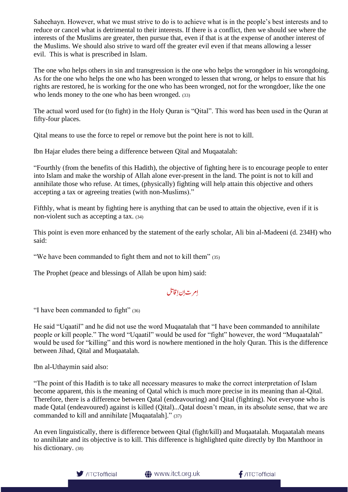Saheehayn. However, what we must strive to do is to achieve what is in the people's best interests and to reduce or cancel what is detrimental to their interests. If there is a conflict, then we should see where the interests of the Muslims are greater, then pursue that, even if that is at the expense of another interest of the Muslims. We should also strive to ward off the greater evil even if that means allowing a lesser evil. This is what is prescribed in Islam.

The one who helps others in sin and transgression is the one who helps the wrongdoer in his wrongdoing. As for the one who helps the one who has been wronged to lessen that wrong, or helps to ensure that his rights are restored, he is working for the one who has been wronged, not for the wrongdoer, like the one who lends money to the one who has been wronged. (33)

The actual word used for (to fight) in the Holy Quran is "Qital". This word has been used in the Quran at fifty-four places.

Qital means to use the force to repel or remove but the point here is not to kill.

Ibn Hajar eludes there being a difference between Qital and Muqaatalah:

"Fourthly (from the benefits of this Hadith), the objective of fighting here is to encourage people to enter into Islam and make the worship of Allah alone ever-present in the land. The point is not to kill and annihilate those who refuse. At times, (physically) fighting will help attain this objective and others accepting a tax or agreeing treaties (with non-Muslims)."

Fifthly, what is meant by fighting here is anything that can be used to attain the objective, even if it is non-violent such as accepting a tax. (34)

This point is even more enhanced by the statement of the early scholar, Ali bin al-Madeeni (d. 234H) who said:

"We have been commanded to fight them and not to kill them" (35)

The Prophet (peace and blessings of Allah be upon him) said:

#### ل j<br>Li ت إن إقا<sup>تا</sup> ا ا رمب ا

"I have been commanded to fight" (36)

He said "Uqaatil" and he did not use the word Muqaatalah that "I have been commanded to annihilate people or kill people." The word "Uqaatil" would be used for "fight" however, the word "Muqaatalah" would be used for "killing" and this word is nowhere mentioned in the holy Quran. This is the difference between Jihad, Qital and Muqaatalah.

Ibn al-Uthaymin said also:

"The point of this Hadith is to take all necessary measures to make the correct interpretation of Islam become apparent, this is the meaning of Qatal which is much more precise in its meaning than al-Qital. Therefore, there is a difference between Qatal (endeavouring) and Qital (fighting). Not everyone who is made Qatal (endeavoured) against is killed (Qital)...Qatal doesn't mean, in its absolute sense, that we are commanded to kill and annihilate [Muqaatalah]." (37)

An even linguistically, there is difference between Qital (fight/kill) and Muqaatalah. Muqaatalah means to annihilate and its objective is to kill. This difference is highlighted quite directly by Ibn Manthoor in his dictionary. (38)



www.itct.org.uk

 $f$ /ITCTofficial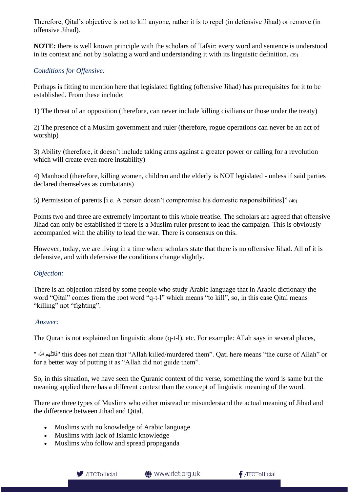Therefore, Qital's objective is not to kill anyone, rather it is to repel (in defensive Jihad) or remove (in offensive Jihad).

**NOTE:** there is well known principle with the scholars of Tafsir: every word and sentence is understood in its context and not by isolating a word and understanding it with its linguistic definition. (39)

#### *Conditions for Offensive:*

Perhaps is fitting to mention here that legislated fighting (offensive Jihad) has prerequisites for it to be established. From these include:

1) The threat of an opposition (therefore, can never include killing civilians or those under the treaty)

2) The presence of a Muslim government and ruler (therefore, rogue operations can never be an act of worship)

3) Ability (therefore, it doesn't include taking arms against a greater power or calling for a revolution which will create even more instability)

4) Manhood (therefore, killing women, children and the elderly is NOT legislated - unless if said parties declared themselves as combatants)

5) Permission of parents [i.e. A person doesn't compromise his domestic responsibilities]" (40)

Points two and three are extremely important to this whole treatise. The scholars are agreed that offensive Jihad can only be established if there is a Muslim ruler present to lead the campaign. This is obviously accompanied with the ability to lead the war. There is consensus on this.

However, today, we are living in a time where scholars state that there is no offensive Jihad. All of it is defensive, and with defensive the conditions change slightly.

#### *Objection:*

There is an objection raised by some people who study Arabic language that in Arabic dictionary the word "Qital" comes from the root word "q-t-l" which means "to kill", so, in this case Qital means "killing" not "fighting".

#### *Answer:*

The Quran is not explained on linguistic alone (q-t-l), etc. For example: Allah says in several places,

" ہللا قاتلھم "this does not mean that "Allah killed/murdered them". Qatl here means "the curse of Allah" or for a better way of putting it as "Allah did not guide them".

So, in this situation, we have seen the Quranic context of the verse, something the word is same but the meaning applied there has a different context than the concept of linguistic meaning of the word.

There are three types of Muslims who either misread or misunderstand the actual meaning of Jihad and the difference between Jihad and Qital.

- Muslims with no knowledge of Arabic language
- Muslims with lack of Islamic knowledge
- Muslims who follow and spread propaganda

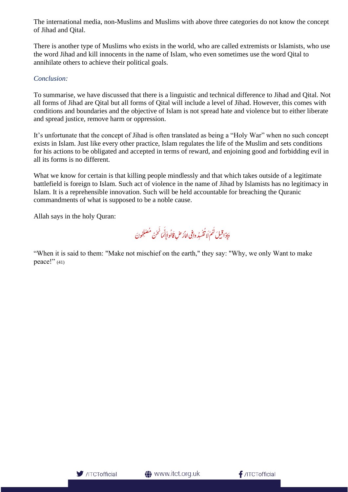The international media, non-Muslims and Muslims with above three categories do not know the concept of Jihad and Qital.

There is another type of Muslims who exists in the world, who are called extremists or Islamists, who use the word Jihad and kill innocents in the name of Islam, who even sometimes use the word Qital to annihilate others to achieve their political goals.

#### *Conclusion:*

To summarise, we have discussed that there is a linguistic and technical difference to Jihad and Qital. Not all forms of Jihad are Qital but all forms of Qital will include a level of Jihad. However, this comes with conditions and boundaries and the objective of Islam is not spread hate and violence but to either liberate and spread justice, remove harm or oppression.

It's unfortunate that the concept of Jihad is often translated as being a "Holy War" when no such concept exists in Islam. Just like every other practice, Islam regulates the life of the Muslim and sets conditions for his actions to be obligated and accepted in terms of reward, and enjoining good and forbidding evil in all its forms is no different.

What we know for certain is that killing people mindlessly and that which takes outside of a legitimate battlefield is foreign to Islam. Such act of violence in the name of Jihad by Islamists has no legitimacy in Islam. It is a reprehensible innovation. Such will be held accountable for breaching the Quranic commandments of what is supposed to be a noble cause.

Allah says in the holy Quran:

وَإِذَا قِيلَ لَهُمْ لَا تُفْسِدُ وافِي اللَّهُ صْ قَالُواإِنَّمَا نَحْنُ مُصْلِحُونَ ُمُ<br>أ ه لَ ق َا l. l ِ ل ֦֧֧֟֓<u>֓</u> ُ  $\overline{a}$ َ l <sub>َقْس</sub>ِيُر وا<sub>ْ</sub>فِي الأَرْضِ قَالُوا<sub>إِ</sub>ْنَمَا َ ì  $\ddot{\cdot}$ لُ ف ر<br>ر بر ن

"When it is said to them: "Make not mischief on the earth," they say: "Why, we only Want to make peace!"  $(41)$ 

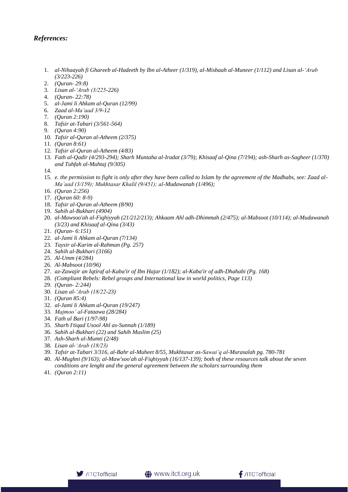#### *References:*

- 1. *al-Nihaayah fi Ghareeb al-Hadeeth by Ibn al-Atheer (1/319), al-Misbaah al-Muneer (1/112) and Lisan al-'Arab (3/223-226)*
- 2. *(Quran- 29:8)*
- 3. *Lisan al-'Arab (3/225-226)*
- 4. *(Quran- 22:78)*
- 5. *al-Jami li Ahkam al-Quran (12/99)*
- 6. *Zaad al-Ma'aad 3/9-12*
- 7. *(Quran 2:190)*
- 8. *Tafsir at-Tabari (3/561-564)*
- 9. *(Quran 4:90)*
- 10. *Tafsir al-Quran al-Atheem (2/375)*
- 11. *(Quran 8:61)*
- 12. *Tafsir al-Quran al-Atheem (4/83)*
- 13. *Fath al-Qadir (4/293-294); Sharh Muntaha al-Iradat (3/79); Khisaaf al-Qina (7/194); ash-Sharh as-Sagheer (1/370) and Tuhfah al-Muhtaj (9/305)*
- 14.
- 15. *e. the permission to fight is only after they have been called to Islam by the agreement of the Madhabs, see: Zaad al-Ma'aad (3/159); Mukhtasar Khalil (9/451); al-Mudawanah (1/496);*
- 16. *(Quran 2:256)*
- 17. *(Quran 60: 8-9)*
- 18. *Tafsir al-Quran al-Atheem (8/90)*
- 19. *Sahih al-Bukhari (4904)*
- 20. *al-Mawsoo'ah al-Fiqhiyyah (21/212/213); Ahkaam Ahl adh-Dhimmah (2/475); al-Mabsoot (10/114); al-Mudawanah (3/23) and Khisaaf al-Qina (3/43)*
- 21. *(Quran- 6:151)*
- 22. *al-Jami li Ahkam al-Quran (7/134)*
- 23. *Taysir al-Karim al-Rahman (Pg. 257)*
- 24. *Sahih al-Bukhari (3166)*
- 25. *Al-Umm (4/284)*
- 26. *Al-Mabsoot (10/96)*
- 27. *az-Zawajir an Iqtiraf al-Kaba'ir of Ibn Hajar (1/182); al-Kaba'ir of adh-Dhahabi (Pg. 168)*
- 28. *(Compliant Rebels: Rebel groups and International law in world politics, Page 113)*
- 29. *(Quran- 2:244)*
- 30. *Lisan al-'Arab (18/22-23)*
- 31. *(Quran 85:4)*
- 32. *al-Jami li Ahkam al-Quran (19/247)*
- 33. *Majmoo' al-Fataawa (28/284)*
- 34. *Fath ul Bari (1/97-98)*
- 35. *Sharh I'tiqad Usool Ahl as-Sunnah (1/189)*
- 36. *Sahih al-Bukhari (22) and Sahih Muslim (25)*
- 37. *Ash-Sharh al-Mumti (2/48)*
- 38. *Lisan al-'Arab (18/23)*
- 39. *Tafsir at-Tabari 3/316, al-Bahr al-Muheet 8/55, Mukhtasar as-Sawai'q al-Murasalah pg. 780-781*
- 40. *Al-Mughni (9/163); al-Maw'soo'ah al-Fiqhiyyah (16/137-139); both of these resources talk about the seven conditions are lenght and the general agreement between the scholars surrounding them*
- 41. *(Quran 2:11)*